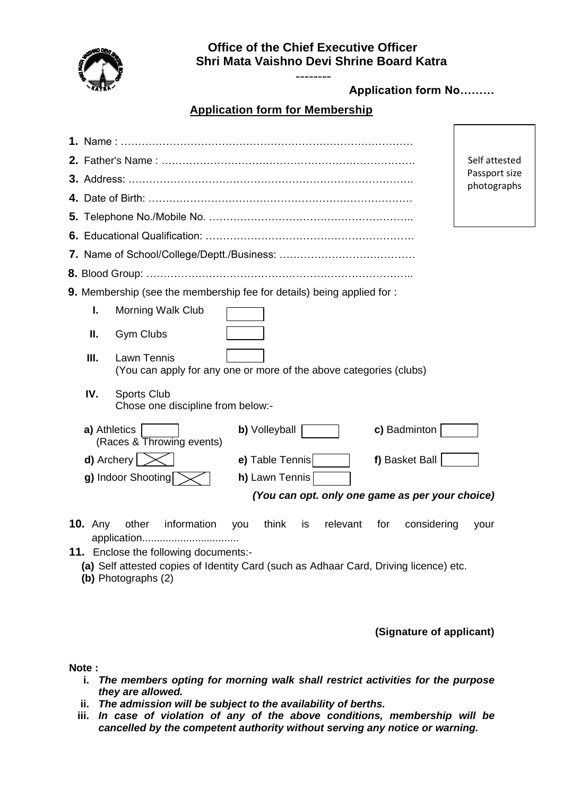

# **Office of the Chief Executive Officer Shri Mata Vaishno Devi Shrine Board Katra**

--------

**Application form No………**

Г

# **Application form for Membership**

|                                                                                         | Self attested      |                                                                                                                                   |     |                |    |          |     |                                                 |      |
|-----------------------------------------------------------------------------------------|--------------------|-----------------------------------------------------------------------------------------------------------------------------------|-----|----------------|----|----------|-----|-------------------------------------------------|------|
|                                                                                         | Passport size      |                                                                                                                                   |     |                |    |          |     | photographs                                     |      |
|                                                                                         |                    |                                                                                                                                   |     |                |    |          |     |                                                 |      |
|                                                                                         |                    |                                                                                                                                   |     |                |    |          |     |                                                 |      |
|                                                                                         |                    |                                                                                                                                   |     |                |    |          |     |                                                 |      |
|                                                                                         |                    |                                                                                                                                   |     |                |    |          |     |                                                 |      |
|                                                                                         |                    |                                                                                                                                   |     |                |    |          |     |                                                 |      |
| 9. Membership (see the membership fee for details) being applied for:                   |                    |                                                                                                                                   |     |                |    |          |     |                                                 |      |
| I.                                                                                      |                    | Morning Walk Club                                                                                                                 |     |                |    |          |     |                                                 |      |
| Ш.                                                                                      | <b>Gym Clubs</b>   |                                                                                                                                   |     |                |    |          |     |                                                 |      |
| Ш.<br>Lawn Tennis<br>(You can apply for any one or more of the above categories (clubs) |                    |                                                                                                                                   |     |                |    |          |     |                                                 |      |
| IV.                                                                                     | <b>Sports Club</b> | Chose one discipline from below:-                                                                                                 |     |                |    |          |     |                                                 |      |
| a) Athletics<br>b) Volleyball<br>c) Badminton<br>(Races & Throwing events)              |                    |                                                                                                                                   |     |                |    |          |     |                                                 |      |
| <b>d)</b> Archery $\vert$ $\vert$<br>e) Table Tennis<br>f) Basket Ball $ $              |                    |                                                                                                                                   |     |                |    |          |     |                                                 |      |
|                                                                                         | g) Indoor Shooting |                                                                                                                                   |     | h) Lawn Tennis |    |          |     |                                                 |      |
|                                                                                         |                    |                                                                                                                                   |     |                |    |          |     | (You can opt. only one game as per your choice) |      |
| <b>10.</b> Any                                                                          | other              | information<br>application                                                                                                        | you | think          | is | relevant | for | considering                                     | your |
|                                                                                         |                    | 11. Enclose the following documents:-<br>(a) Oalf attented control of Identific Oand (accelerate Adhaan Oand, Duiting Hannaa) ata |     |                |    |          |     |                                                 |      |

- **(a)** Self attested copies of Identity Card (such as Adhaar Card, Driving licence) etc.
- **(b)** Photographs (2)

## **(Signature of applicant)**

**Note :**

- **i.** *The members opting for morning walk shall restrict activities for the purpose they are allowed.*
- **ii.** *The admission will be subject to the availability of berths.*
- **iii.** *In case of violation of any of the above conditions, membership will be cancelled by the competent authority without serving any notice or warning.*